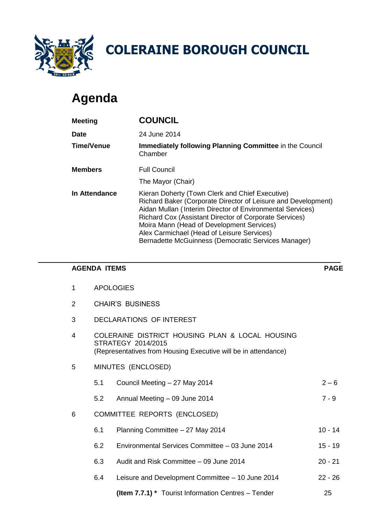

# **Agenda**

|                |                                                                                                                                         | <b>COLERAINE BOROUGH COUNCIL</b>                                                                                                                                                                                                                                                                                                                                                          |        |  |  |
|----------------|-----------------------------------------------------------------------------------------------------------------------------------------|-------------------------------------------------------------------------------------------------------------------------------------------------------------------------------------------------------------------------------------------------------------------------------------------------------------------------------------------------------------------------------------------|--------|--|--|
|                | Agenda                                                                                                                                  |                                                                                                                                                                                                                                                                                                                                                                                           |        |  |  |
|                | <b>Meeting</b>                                                                                                                          | <b>COUNCIL</b>                                                                                                                                                                                                                                                                                                                                                                            |        |  |  |
| <b>Date</b>    |                                                                                                                                         | 24 June 2014                                                                                                                                                                                                                                                                                                                                                                              |        |  |  |
|                | <b>Time/Venue</b>                                                                                                                       | Immediately following Planning Committee in the Council<br>Chamber                                                                                                                                                                                                                                                                                                                        |        |  |  |
|                | <b>Members</b>                                                                                                                          | <b>Full Council</b>                                                                                                                                                                                                                                                                                                                                                                       |        |  |  |
|                |                                                                                                                                         | The Mayor (Chair)                                                                                                                                                                                                                                                                                                                                                                         |        |  |  |
|                | <b>In Attendance</b>                                                                                                                    | Kieran Doherty (Town Clerk and Chief Executive)<br>Richard Baker (Corporate Director of Leisure and Development)<br>Aidan Mullan (Interim Director of Environmental Services)<br>Richard Cox (Assistant Director of Corporate Services)<br>Moira Mann (Head of Development Services)<br>Alex Carmichael (Head of Leisure Services)<br>Bernadette McGuinness (Democratic Services Manager) |        |  |  |
|                | <b>AGENDA ITEMS</b>                                                                                                                     |                                                                                                                                                                                                                                                                                                                                                                                           | PA     |  |  |
| 1              |                                                                                                                                         | <b>APOLOGIES</b>                                                                                                                                                                                                                                                                                                                                                                          |        |  |  |
| $\overline{2}$ |                                                                                                                                         | <b>CHAIR'S BUSINESS</b>                                                                                                                                                                                                                                                                                                                                                                   |        |  |  |
| 3              |                                                                                                                                         | <b>DECLARATIONS OF INTEREST</b>                                                                                                                                                                                                                                                                                                                                                           |        |  |  |
| 4              | COLERAINE DISTRICT HOUSING PLAN & LOCAL HOUSING<br>STRATEGY 2014/2015<br>(Representatives from Housing Executive will be in attendance) |                                                                                                                                                                                                                                                                                                                                                                                           |        |  |  |
| 5              | MINUTES (ENCLOSED)                                                                                                                      |                                                                                                                                                                                                                                                                                                                                                                                           |        |  |  |
|                | 5.1                                                                                                                                     | Council Meeting - 27 May 2014                                                                                                                                                                                                                                                                                                                                                             | $2 -$  |  |  |
|                | 5.2                                                                                                                                     | Annual Meeting - 09 June 2014                                                                                                                                                                                                                                                                                                                                                             | $7 -$  |  |  |
| 6              |                                                                                                                                         | COMMITTEE REPORTS (ENCLOSED)                                                                                                                                                                                                                                                                                                                                                              |        |  |  |
|                | 6.1                                                                                                                                     | Planning Committee - 27 May 2014                                                                                                                                                                                                                                                                                                                                                          | $10 -$ |  |  |
|                | 6.2                                                                                                                                     | Environmental Services Committee - 03 June 2014                                                                                                                                                                                                                                                                                                                                           | $15 -$ |  |  |
|                | 6.3                                                                                                                                     | Audit and Risk Committee - 09 June 2014                                                                                                                                                                                                                                                                                                                                                   | $20 -$ |  |  |
|                | 6.4                                                                                                                                     | Leisure and Development Committee - 10 June 2014                                                                                                                                                                                                                                                                                                                                          | $22 -$ |  |  |
|                |                                                                                                                                         | (Item 7.7.1) * Tourist Information Centres - Tender                                                                                                                                                                                                                                                                                                                                       | 25     |  |  |

#### **AGENDA ITEMS PAGE**

- 1 APOLOGIES
- 2 CHAIR'S BUSINESS
- 3 DECLARATIONS OF INTEREST
- 4 COLERAINE DISTRICT HOUSING PLAN & LOCAL HOUSING STRATEGY 2014/2015 (Representatives from Housing Executive will be in attendance)
- 5 MINUTES (ENCLOSED)
	- 5.1 Council Meeting 27 May 2014 2 6
	- 5.2 Annual Meeting 09 June 2014 7 9
- 6 COMMITTEE REPORTS (ENCLOSED)
	- 6.1 Planning Committee 27 May 2014 10 14
	- 6.2 Environmental Services Committee 03 June 2014 15 19
	- 6.3 Audit and Risk Committee 09 June 2014 20 21
	- 6.4 Leisure and Development Committee 10 June 2014 22 26
		-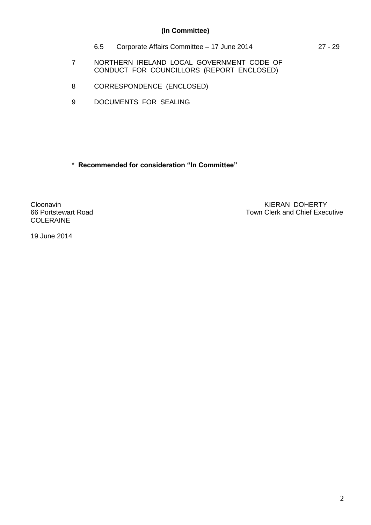# **(In Committee)**

6.5 Corporate Affairs Committee – 17 June 2014 27 - 29

7 NORTHERN IRELAND LOCAL GOVERNMENT CODE OF CONDUCT FOR COUNCILLORS (REPORT ENCLOSED)

- 8 CORRESPONDENCE (ENCLOSED)
- 9 DOCUMENTS FOR SEALING

**\* Recommended for consideration "In Committee"**

COLERAINE

Cloonavin KIERAN DOHERTY<br>66 Portstewart Road Town Clerk and Chief Exec Town Clerk and Chief Executive

19 June 2014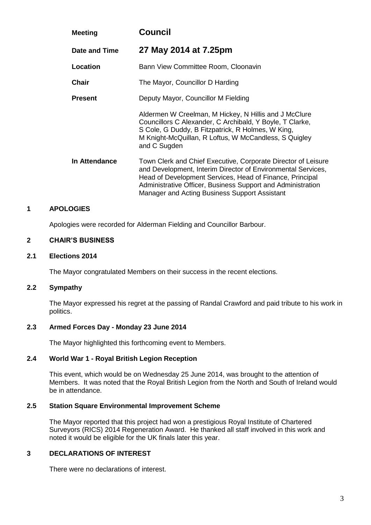| <b>Meeting</b> | <b>Council</b>                                                                                                                                                                                                                                                                                            |  |  |
|----------------|-----------------------------------------------------------------------------------------------------------------------------------------------------------------------------------------------------------------------------------------------------------------------------------------------------------|--|--|
| Date and Time  | 27 May 2014 at 7.25pm                                                                                                                                                                                                                                                                                     |  |  |
| Location       | Bann View Committee Room, Cloonavin                                                                                                                                                                                                                                                                       |  |  |
| <b>Chair</b>   | The Mayor, Councillor D Harding                                                                                                                                                                                                                                                                           |  |  |
| <b>Present</b> | Deputy Mayor, Councillor M Fielding                                                                                                                                                                                                                                                                       |  |  |
|                | Aldermen W Creelman, M Hickey, N Hillis and J McClure<br>Councillors C Alexander, C Archibald, Y Boyle, T Clarke,<br>S Cole, G Duddy, B Fitzpatrick, R Holmes, W King,<br>M Knight-McQuillan, R Loftus, W McCandless, S Quigley<br>and C Sugden                                                           |  |  |
| In Attendance  | Town Clerk and Chief Executive, Corporate Director of Leisure<br>and Development, Interim Director of Environmental Services,<br>Head of Development Services, Head of Finance, Principal<br>Administrative Officer, Business Support and Administration<br>Manager and Acting Business Support Assistant |  |  |

#### **1 APOLOGIES**

Apologies were recorded for Alderman Fielding and Councillor Barbour.

#### **2 CHAIR'S BUSINESS**

#### **2.1 Elections 2014**

The Mayor congratulated Members on their success in the recent elections.

#### **2.2 Sympathy**

The Mayor expressed his regret at the passing of Randal Crawford and paid tribute to his work in politics.

#### **2.3 Armed Forces Day - Monday 23 June 2014**

The Mayor highlighted this forthcoming event to Members.

# **2.4 World War 1 - Royal British Legion Reception**

This event, which would be on Wednesday 25 June 2014, was brought to the attention of Members. It was noted that the Royal British Legion from the North and South of Ireland would be in attendance.

# **2.5 Station Square Environmental Improvement Scheme**

The Mayor reported that this project had won a prestigious Royal Institute of Chartered Surveyors (RICS) 2014 Regeneration Award. He thanked all staff involved in this work and noted it would be eligible for the UK finals later this year.

# **3 DECLARATIONS OF INTEREST**

There were no declarations of interest.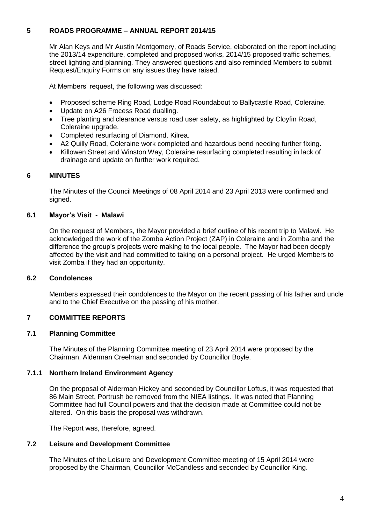# **5 ROADS PROGRAMME – ANNUAL REPORT 2014/15**

Mr Alan Keys and Mr Austin Montgomery, of Roads Service, elaborated on the report including the 2013/14 expenditure, completed and proposed works, 2014/15 proposed traffic schemes, street lighting and planning. They answered questions and also reminded Members to submit Request/Enquiry Forms on any issues they have raised.

At Members' request, the following was discussed:

- Proposed scheme Ring Road, Lodge Road Roundabout to Ballycastle Road, Coleraine.
- Update on A26 Frocess Road dualling.
- Tree planting and clearance versus road user safety, as highlighted by Cloyfin Road, Coleraine upgrade.
- Completed resurfacing of Diamond, Kilrea.
- A2 Quilly Road, Coleraine work completed and hazardous bend needing further fixing.
- Killowen Street and Winston Way, Coleraine resurfacing completed resulting in lack of drainage and update on further work required.

# **6 MINUTES**

The Minutes of the Council Meetings of 08 April 2014 and 23 April 2013 were confirmed and signed.

# **6.1 Mayor's Visit - Malawi**

On the request of Members, the Mayor provided a brief outline of his recent trip to Malawi. He acknowledged the work of the Zomba Action Project (ZAP) in Coleraine and in Zomba and the difference the group's projects were making to the local people. The Mayor had been deeply affected by the visit and had committed to taking on a personal project. He urged Members to visit Zomba if they had an opportunity.

## **6.2 Condolences**

Members expressed their condolences to the Mayor on the recent passing of his father and uncle and to the Chief Executive on the passing of his mother.

# **7 COMMITTEE REPORTS**

#### **7.1 Planning Committee**

The Minutes of the Planning Committee meeting of 23 April 2014 were proposed by the Chairman, Alderman Creelman and seconded by Councillor Boyle.

#### **7.1.1 Northern Ireland Environment Agency**

On the proposal of Alderman Hickey and seconded by Councillor Loftus, it was requested that 86 Main Street, Portrush be removed from the NIEA listings. It was noted that Planning Committee had full Council powers and that the decision made at Committee could not be altered. On this basis the proposal was withdrawn.

The Report was, therefore, agreed.

# **7.2 Leisure and Development Committee**

The Minutes of the Leisure and Development Committee meeting of 15 April 2014 were proposed by the Chairman, Councillor McCandless and seconded by Councillor King.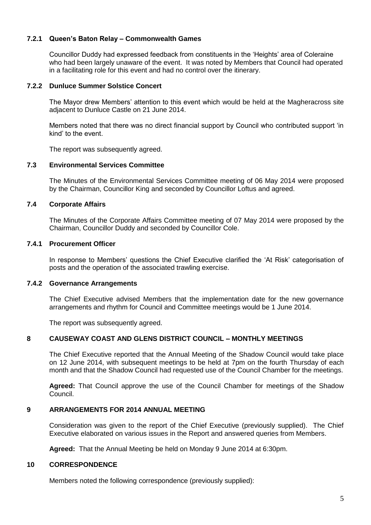# **7.2.1 Queen's Baton Relay – Commonwealth Games**

Councillor Duddy had expressed feedback from constituents in the 'Heights' area of Coleraine who had been largely unaware of the event. It was noted by Members that Council had operated in a facilitating role for this event and had no control over the itinerary.

# **7.2.2 Dunluce Summer Solstice Concert**

The Mayor drew Members' attention to this event which would be held at the Magheracross site adjacent to Dunluce Castle on 21 June 2014.

Members noted that there was no direct financial support by Council who contributed support 'in kind' to the event.

The report was subsequently agreed.

#### **7.3 Environmental Services Committee**

The Minutes of the Environmental Services Committee meeting of 06 May 2014 were proposed by the Chairman, Councillor King and seconded by Councillor Loftus and agreed.

# **7.4 Corporate Affairs**

The Minutes of the Corporate Affairs Committee meeting of 07 May 2014 were proposed by the Chairman, Councillor Duddy and seconded by Councillor Cole.

#### **7.4.1 Procurement Officer**

In response to Members' questions the Chief Executive clarified the 'At Risk' categorisation of posts and the operation of the associated trawling exercise.

#### **7.4.2 Governance Arrangements**

The Chief Executive advised Members that the implementation date for the new governance arrangements and rhythm for Council and Committee meetings would be 1 June 2014.

The report was subsequently agreed.

#### **8 CAUSEWAY COAST AND GLENS DISTRICT COUNCIL – MONTHLY MEETINGS**

The Chief Executive reported that the Annual Meeting of the Shadow Council would take place on 12 June 2014, with subsequent meetings to be held at 7pm on the fourth Thursday of each month and that the Shadow Council had requested use of the Council Chamber for the meetings.

**Agreed:** That Council approve the use of the Council Chamber for meetings of the Shadow Council.

#### **9 ARRANGEMENTS FOR 2014 ANNUAL MEETING**

Consideration was given to the report of the Chief Executive (previously supplied). The Chief Executive elaborated on various issues in the Report and answered queries from Members.

**Agreed:** That the Annual Meeting be held on Monday 9 June 2014 at 6:30pm.

#### **10 CORRESPONDENCE**

Members noted the following correspondence (previously supplied):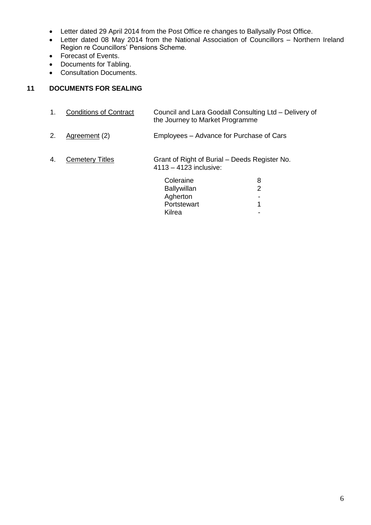- Letter dated 29 April 2014 from the Post Office re changes to Ballysally Post Office.
- Letter dated 08 May 2014 from the National Association of Councillors Northern Ireland Region re Councillors' Pensions Scheme.
- Forecast of Events.
- Documents for Tabling.
- Consultation Documents.

# **11 DOCUMENTS FOR SEALING**

| 1.                                                                                                      | <b>Conditions of Contract</b> | Council and Lara Goodall Consulting Ltd - Delivery of<br>the Journey to Market Programme |   |
|---------------------------------------------------------------------------------------------------------|-------------------------------|------------------------------------------------------------------------------------------|---|
| 2.                                                                                                      | Agreement (2)                 | Employees – Advance for Purchase of Cars                                                 |   |
| 4.<br>Grant of Right of Burial – Deeds Register No.<br><b>Cemetery Titles</b><br>4113 - 4123 inclusive: |                               |                                                                                          |   |
|                                                                                                         |                               | Coleraine                                                                                | 8 |
|                                                                                                         |                               | <b>Ballywillan</b>                                                                       | 2 |
|                                                                                                         |                               | Agherton                                                                                 |   |
|                                                                                                         |                               | Portstewart                                                                              | 1 |
|                                                                                                         |                               | Kilrea                                                                                   |   |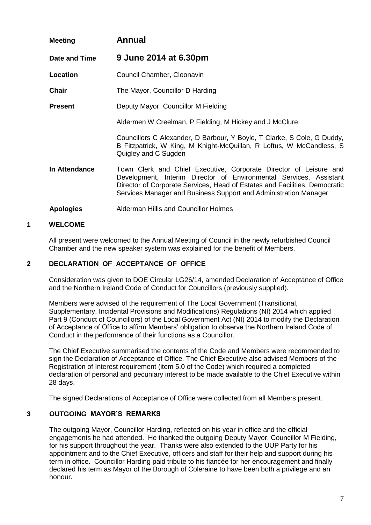| <b>Meeting</b>                                        | <b>Annual</b>                                                                                                                                                                                                                                                                             |  |
|-------------------------------------------------------|-------------------------------------------------------------------------------------------------------------------------------------------------------------------------------------------------------------------------------------------------------------------------------------------|--|
| Date and Time                                         | 9 June 2014 at 6.30pm                                                                                                                                                                                                                                                                     |  |
| Location                                              | Council Chamber, Cloonavin                                                                                                                                                                                                                                                                |  |
| <b>Chair</b>                                          | The Mayor, Councillor D Harding                                                                                                                                                                                                                                                           |  |
| Deputy Mayor, Councillor M Fielding<br><b>Present</b> |                                                                                                                                                                                                                                                                                           |  |
|                                                       | Aldermen W Creelman, P Fielding, M Hickey and J McClure                                                                                                                                                                                                                                   |  |
|                                                       | Councillors C Alexander, D Barbour, Y Boyle, T Clarke, S Cole, G Duddy,<br>B Fitzpatrick, W King, M Knight-McQuillan, R Loftus, W McCandless, S<br>Quigley and C Sugden                                                                                                                   |  |
| In Attendance                                         | Town Clerk and Chief Executive, Corporate Director of Leisure and<br>Development, Interim Director of Environmental Services, Assistant<br>Director of Corporate Services, Head of Estates and Facilities, Democratic<br>Services Manager and Business Support and Administration Manager |  |
| <b>Apologies</b>                                      | Alderman Hillis and Councillor Holmes                                                                                                                                                                                                                                                     |  |

# **1 WELCOME**

All present were welcomed to the Annual Meeting of Council in the newly refurbished Council Chamber and the new speaker system was explained for the benefit of Members.

# **2 DECLARATION OF ACCEPTANCE OF OFFICE**

Consideration was given to DOE Circular LG26/14, amended Declaration of Acceptance of Office and the Northern Ireland Code of Conduct for Councillors (previously supplied).

Members were advised of the requirement of The Local Government (Transitional, Supplementary, Incidental Provisions and Modifications) Regulations (NI) 2014 which applied Part 9 (Conduct of Councillors) of the Local Government Act (NI) 2014 to modify the Declaration of Acceptance of Office to affirm Members' obligation to observe the Northern Ireland Code of Conduct in the performance of their functions as a Councillor.

The Chief Executive summarised the contents of the Code and Members were recommended to sign the Declaration of Acceptance of Office. The Chief Executive also advised Members of the Registration of Interest requirement (item 5.0 of the Code) which required a completed declaration of personal and pecuniary interest to be made available to the Chief Executive within 28 days.

The signed Declarations of Acceptance of Office were collected from all Members present.

# **3 OUTGOING MAYOR'S REMARKS**

The outgoing Mayor, Councillor Harding, reflected on his year in office and the official engagements he had attended. He thanked the outgoing Deputy Mayor, Councillor M Fielding, for his support throughout the year. Thanks were also extended to the UUP Party for his appointment and to the Chief Executive, officers and staff for their help and support during his term in office. Councillor Harding paid tribute to his fiancée for her encouragement and finally declared his term as Mayor of the Borough of Coleraine to have been both a privilege and an honour.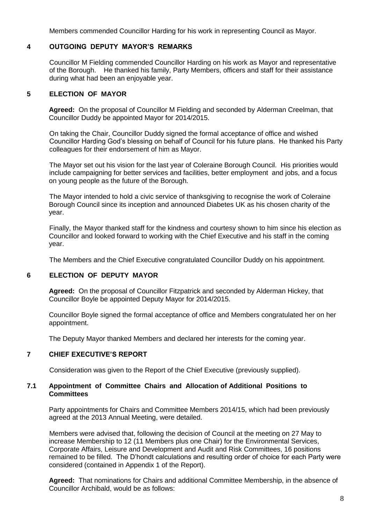Members commended Councillor Harding for his work in representing Council as Mayor.

#### **4 OUTGOING DEPUTY MAYOR'S REMARKS**

Councillor M Fielding commended Councillor Harding on his work as Mayor and representative of the Borough. He thanked his family, Party Members, officers and staff for their assistance during what had been an enjoyable year.

# **5 ELECTION OF MAYOR**

**Agreed:** On the proposal of Councillor M Fielding and seconded by Alderman Creelman, that Councillor Duddy be appointed Mayor for 2014/2015.

On taking the Chair, Councillor Duddy signed the formal acceptance of office and wished Councillor Harding God's blessing on behalf of Council for his future plans. He thanked his Party colleagues for their endorsement of him as Mayor.

The Mayor set out his vision for the last year of Coleraine Borough Council. His priorities would include campaigning for better services and facilities, better employment and jobs, and a focus on young people as the future of the Borough.

The Mayor intended to hold a civic service of thanksgiving to recognise the work of Coleraine Borough Council since its inception and announced Diabetes UK as his chosen charity of the year.

Finally, the Mayor thanked staff for the kindness and courtesy shown to him since his election as Councillor and looked forward to working with the Chief Executive and his staff in the coming year.

The Members and the Chief Executive congratulated Councillor Duddy on his appointment.

#### **6 ELECTION OF DEPUTY MAYOR**

**Agreed:** On the proposal of Councillor Fitzpatrick and seconded by Alderman Hickey, that Councillor Boyle be appointed Deputy Mayor for 2014/2015.

Councillor Boyle signed the formal acceptance of office and Members congratulated her on her appointment.

The Deputy Mayor thanked Members and declared her interests for the coming year.

#### **7 CHIEF EXECUTIVE'S REPORT**

Consideration was given to the Report of the Chief Executive (previously supplied).

#### **7.1 Appointment of Committee Chairs and Allocation of Additional Positions to Committees**

Party appointments for Chairs and Committee Members 2014/15, which had been previously agreed at the 2013 Annual Meeting, were detailed.

Members were advised that, following the decision of Council at the meeting on 27 May to increase Membership to 12 (11 Members plus one Chair) for the Environmental Services, Corporate Affairs, Leisure and Development and Audit and Risk Committees, 16 positions remained to be filled. The D'hondt calculations and resulting order of choice for each Party were considered (contained in Appendix 1 of the Report).

**Agreed:** That nominations for Chairs and additional Committee Membership, in the absence of Councillor Archibald, would be as follows: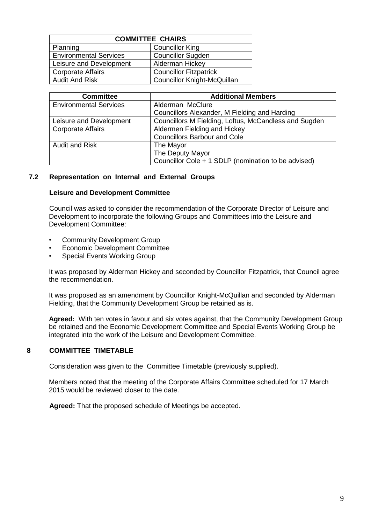| <b>COMMITTEE CHAIRS</b>       |                                    |  |  |
|-------------------------------|------------------------------------|--|--|
| Planning                      | <b>Councillor King</b>             |  |  |
| <b>Environmental Services</b> | <b>Councillor Sugden</b>           |  |  |
| Leisure and Development       | Alderman Hickey                    |  |  |
| <b>Corporate Affairs</b>      | <b>Councillor Fitzpatrick</b>      |  |  |
| <b>Audit And Risk</b>         | <b>Councillor Knight-McQuillan</b> |  |  |

| <b>Committee</b>              | <b>Additional Members</b>                             |  |
|-------------------------------|-------------------------------------------------------|--|
| <b>Environmental Services</b> | Alderman McClure                                      |  |
|                               | Councillors Alexander, M Fielding and Harding         |  |
| Leisure and Development       | Councillors M Fielding, Loftus, McCandless and Sugden |  |
| <b>Corporate Affairs</b>      | Aldermen Fielding and Hickey                          |  |
|                               | <b>Councillors Barbour and Cole</b>                   |  |
| <b>Audit and Risk</b>         | The Mayor                                             |  |
|                               | The Deputy Mayor                                      |  |
|                               | Councillor Cole + 1 SDLP (nomination to be advised)   |  |

# **7.2 Representation on Internal and External Groups**

#### **Leisure and Development Committee**

Council was asked to consider the recommendation of the Corporate Director of Leisure and Development to incorporate the following Groups and Committees into the Leisure and Development Committee:

- Community Development Group
- Economic Development Committee
- Special Events Working Group

It was proposed by Alderman Hickey and seconded by Councillor Fitzpatrick, that Council agree the recommendation.

It was proposed as an amendment by Councillor Knight-McQuillan and seconded by Alderman Fielding, that the Community Development Group be retained as is.

**Agreed:** With ten votes in favour and six votes against, that the Community Development Group be retained and the Economic Development Committee and Special Events Working Group be integrated into the work of the Leisure and Development Committee.

#### **8 COMMITTEE TIMETABLE**

Consideration was given to the Committee Timetable (previously supplied).

Members noted that the meeting of the Corporate Affairs Committee scheduled for 17 March 2015 would be reviewed closer to the date.

**Agreed:** That the proposed schedule of Meetings be accepted.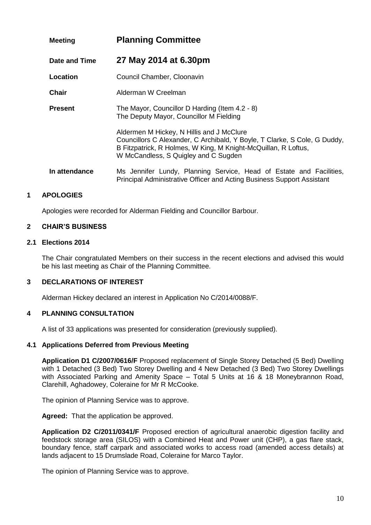| <b>Meeting</b> | <b>Planning Committee</b>                                                                                                                                                                                                        |
|----------------|----------------------------------------------------------------------------------------------------------------------------------------------------------------------------------------------------------------------------------|
| Date and Time  | 27 May 2014 at 6.30pm                                                                                                                                                                                                            |
| Location       | Council Chamber, Cloonavin                                                                                                                                                                                                       |
| <b>Chair</b>   | Alderman W Creelman                                                                                                                                                                                                              |
| <b>Present</b> | The Mayor, Councillor D Harding (Item 4.2 - 8)<br>The Deputy Mayor, Councillor M Fielding                                                                                                                                        |
|                | Aldermen M Hickey, N Hillis and J McClure<br>Councillors C Alexander, C Archibald, Y Boyle, T Clarke, S Cole, G Duddy,<br>B Fitzpatrick, R Holmes, W King, M Knight-McQuillan, R Loftus,<br>W McCandless, S Quigley and C Sugden |
| In attendance  | Ms Jennifer Lundy, Planning Service, Head of Estate and Facilities,<br>Principal Administrative Officer and Acting Business Support Assistant                                                                                    |

# **1 APOLOGIES**

Apologies were recorded for Alderman Fielding and Councillor Barbour.

#### **2 CHAIR'S BUSINESS**

#### **2.1 Elections 2014**

The Chair congratulated Members on their success in the recent elections and advised this would be his last meeting as Chair of the Planning Committee.

#### **3 DECLARATIONS OF INTEREST**

Alderman Hickey declared an interest in Application No C/2014/0088/F.

#### **4 PLANNING CONSULTATION**

A list of 33 applications was presented for consideration (previously supplied).

#### **4.1 Applications Deferred from Previous Meeting**

**Application D1 C/2007/0616/F** Proposed replacement of Single Storey Detached (5 Bed) Dwelling with 1 Detached (3 Bed) Two Storey Dwelling and 4 New Detached (3 Bed) Two Storey Dwellings with Associated Parking and Amenity Space - Total 5 Units at 16 & 18 Moneybrannon Road, Clarehill, Aghadowey, Coleraine for Mr R McCooke.

The opinion of Planning Service was to approve.

**Agreed:** That the application be approved.

**Application D2 C/2011/0341/F** Proposed erection of agricultural anaerobic digestion facility and feedstock storage area (SILOS) with a Combined Heat and Power unit (CHP), a gas flare stack, boundary fence, staff carpark and associated works to access road (amended access details) at lands adjacent to 15 Drumslade Road, Coleraine for Marco Taylor.

The opinion of Planning Service was to approve.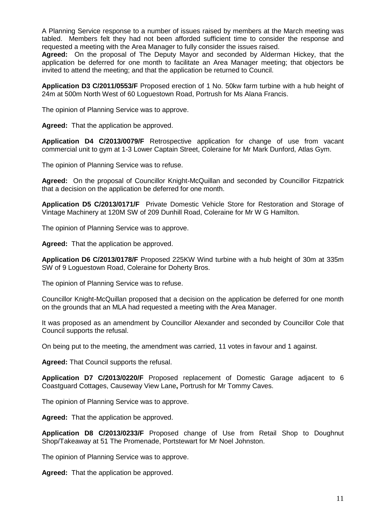A Planning Service response to a number of issues raised by members at the March meeting was tabled. Members felt they had not been afforded sufficient time to consider the response and requested a meeting with the Area Manager to fully consider the issues raised.

**Agreed:** On the proposal of The Deputy Mayor and seconded by Alderman Hickey, that the application be deferred for one month to facilitate an Area Manager meeting; that objectors be invited to attend the meeting; and that the application be returned to Council.

**Application D3 C/2011/0553/F** Proposed erection of 1 No. 50kw farm turbine with a hub height of 24m at 500m North West of 60 Loguestown Road, Portrush for Ms Alana Francis.

The opinion of Planning Service was to approve.

**Agreed:** That the application be approved.

**Application D4 C/2013/0079/F** Retrospective application for change of use from vacant commercial unit to gym at 1-3 Lower Captain Street, Coleraine for Mr Mark Dunford, Atlas Gym.

The opinion of Planning Service was to refuse.

**Agreed:** On the proposal of Councillor Knight-McQuillan and seconded by Councillor Fitzpatrick that a decision on the application be deferred for one month.

**Application D5 C/2013/0171/F** Private Domestic Vehicle Store for Restoration and Storage of Vintage Machinery at 120M SW of 209 Dunhill Road, Coleraine for Mr W G Hamilton.

The opinion of Planning Service was to approve.

**Agreed:** That the application be approved.

**Application D6 C/2013/0178/F** Proposed 225KW Wind turbine with a hub height of 30m at 335m SW of 9 Loguestown Road, Coleraine for Doherty Bros.

The opinion of Planning Service was to refuse.

Councillor Knight-McQuillan proposed that a decision on the application be deferred for one month on the grounds that an MLA had requested a meeting with the Area Manager.

It was proposed as an amendment by Councillor Alexander and seconded by Councillor Cole that Council supports the refusal.

On being put to the meeting, the amendment was carried, 11 votes in favour and 1 against.

**Agreed:** That Council supports the refusal.

**Application D7 C/2013/0220/F** Proposed replacement of Domestic Garage adjacent to 6 Coastguard Cottages, Causeway View Lane**,** Portrush for Mr Tommy Caves.

The opinion of Planning Service was to approve.

**Agreed:** That the application be approved.

**Application D8 C/2013/0233/F** Proposed change of Use from Retail Shop to Doughnut Shop/Takeaway at 51 The Promenade, Portstewart for Mr Noel Johnston.

The opinion of Planning Service was to approve.

**Agreed:** That the application be approved.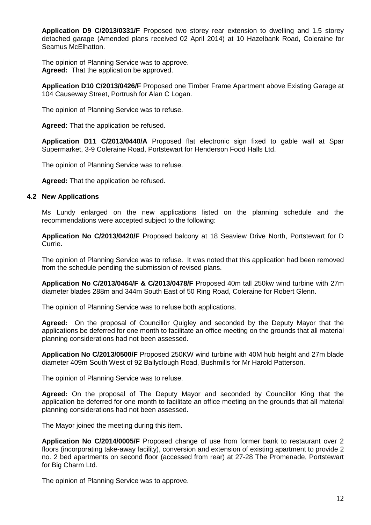**Application D9 C/2013/0331/F** Proposed two storey rear extension to dwelling and 1.5 storey detached garage (Amended plans received 02 April 2014) at 10 Hazelbank Road, Coleraine for Seamus McElhatton.

The opinion of Planning Service was to approve. **Agreed:** That the application be approved.

**Application D10 C/2013/0426/F** Proposed one Timber Frame Apartment above Existing Garage at 104 Causeway Street, Portrush for Alan C Logan.

The opinion of Planning Service was to refuse.

**Agreed:** That the application be refused.

**Application D11 C/2013/0440/A** Proposed flat electronic sign fixed to gable wall at Spar Supermarket, 3-9 Coleraine Road, Portstewart for Henderson Food Halls Ltd.

The opinion of Planning Service was to refuse.

**Agreed:** That the application be refused.

#### **4.2 New Applications**

Ms Lundy enlarged on the new applications listed on the planning schedule and the recommendations were accepted subject to the following:

**Application No C/2013/0420/F** Proposed balcony at 18 Seaview Drive North, Portstewart for D Currie.

The opinion of Planning Service was to refuse. It was noted that this application had been removed from the schedule pending the submission of revised plans.

**Application No C/2013/0464/F & C/2013/0478/F** Proposed 40m tall 250kw wind turbine with 27m diameter blades 288m and 344m South East of 50 Ring Road, Coleraine for Robert Glenn.

The opinion of Planning Service was to refuse both applications.

**Agreed:** On the proposal of Councillor Quigley and seconded by the Deputy Mayor that the applications be deferred for one month to facilitate an office meeting on the grounds that all material planning considerations had not been assessed.

**Application No C/2013/0500/F** Proposed 250KW wind turbine with 40M hub height and 27m blade diameter 409m South West of 92 Ballyclough Road, Bushmills for Mr Harold Patterson.

The opinion of Planning Service was to refuse.

**Agreed:** On the proposal of The Deputy Mayor and seconded by Councillor King that the application be deferred for one month to facilitate an office meeting on the grounds that all material planning considerations had not been assessed.

The Mayor joined the meeting during this item.

**Application No C/2014/0005/F** Proposed change of use from former bank to restaurant over 2 floors (incorporating take-away facility), conversion and extension of existing apartment to provide 2 no. 2 bed apartments on second floor (accessed from rear) at 27-28 The Promenade, Portstewart for Big Charm Ltd.

The opinion of Planning Service was to approve.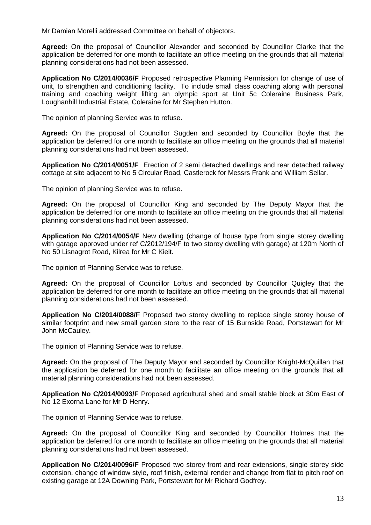Mr Damian Morelli addressed Committee on behalf of objectors.

**Agreed:** On the proposal of Councillor Alexander and seconded by Councillor Clarke that the application be deferred for one month to facilitate an office meeting on the grounds that all material planning considerations had not been assessed.

**Application No C/2014/0036/F** Proposed retrospective Planning Permission for change of use of unit, to strengthen and conditioning facility. To include small class coaching along with personal training and coaching weight lifting an olympic sport at Unit 5c Coleraine Business Park, Loughanhill Industrial Estate, Coleraine for Mr Stephen Hutton.

The opinion of planning Service was to refuse.

**Agreed:** On the proposal of Councillor Sugden and seconded by Councillor Boyle that the application be deferred for one month to facilitate an office meeting on the grounds that all material planning considerations had not been assessed.

**Application No C/2014/0051/F** Erection of 2 semi detached dwellings and rear detached railway cottage at site adjacent to No 5 Circular Road, Castlerock for Messrs Frank and William Sellar.

The opinion of planning Service was to refuse.

**Agreed:** On the proposal of Councillor King and seconded by The Deputy Mayor that the application be deferred for one month to facilitate an office meeting on the grounds that all material planning considerations had not been assessed.

**Application No C/2014/0054/F** New dwelling (change of house type from single storey dwelling with garage approved under ref C/2012/194/F to two storey dwelling with garage) at 120m North of No 50 Lisnagrot Road, Kilrea for Mr C Kielt.

The opinion of Planning Service was to refuse.

**Agreed:** On the proposal of Councillor Loftus and seconded by Councillor Quigley that the application be deferred for one month to facilitate an office meeting on the grounds that all material planning considerations had not been assessed.

**Application No C/2014/0088/F** Proposed two storey dwelling to replace single storey house of similar footprint and new small garden store to the rear of 15 Burnside Road, Portstewart for Mr John McCauley.

The opinion of Planning Service was to refuse.

**Agreed:** On the proposal of The Deputy Mayor and seconded by Councillor Knight-McQuillan that the application be deferred for one month to facilitate an office meeting on the grounds that all material planning considerations had not been assessed.

**Application No C/2014/0093/F** Proposed agricultural shed and small stable block at 30m East of No 12 Exorna Lane for Mr D Henry.

The opinion of Planning Service was to refuse.

**Agreed:** On the proposal of Councillor King and seconded by Councillor Holmes that the application be deferred for one month to facilitate an office meeting on the grounds that all material planning considerations had not been assessed.

**Application No C/2014/0096/F** Proposed two storey front and rear extensions, single storey side extension, change of window style, roof finish, external render and change from flat to pitch roof on existing garage at 12A Downing Park, Portstewart for Mr Richard Godfrey.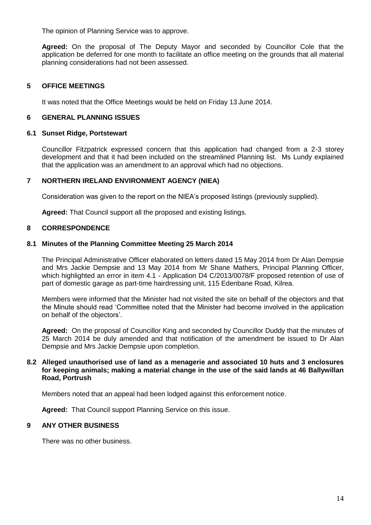The opinion of Planning Service was to approve.

**Agreed:** On the proposal of The Deputy Mayor and seconded by Councillor Cole that the application be deferred for one month to facilitate an office meeting on the grounds that all material planning considerations had not been assessed.

# **5 OFFICE MEETINGS**

It was noted that the Office Meetings would be held on Friday 13 June 2014.

#### **6 GENERAL PLANNING ISSUES**

#### **6.1 Sunset Ridge, Portstewart**

Councillor Fitzpatrick expressed concern that this application had changed from a 2-3 storey development and that it had been included on the streamlined Planning list. Ms Lundy explained that the application was an amendment to an approval which had no objections.

#### **7 NORTHERN IRELAND ENVIRONMENT AGENCY (NIEA)**

Consideration was given to the report on the NIEA's proposed listings (previously supplied).

**Agreed:** That Council support all the proposed and existing listings.

#### **8 CORRESPONDENCE**

#### **8.1 Minutes of the Planning Committee Meeting 25 March 2014**

The Principal Administrative Officer elaborated on letters dated 15 May 2014 from Dr Alan Dempsie and Mrs Jackie Dempsie and 13 May 2014 from Mr Shane Mathers, Principal Planning Officer, which highlighted an error in item 4.1 - Application D4 C/2013/0078/F proposed retention of use of part of domestic garage as part-time hairdressing unit, 115 Edenbane Road, Kilrea.

Members were informed that the Minister had not visited the site on behalf of the objectors and that the Minute should read 'Committee noted that the Minister had become involved in the application on behalf of the objectors'.

**Agreed:** On the proposal of Councillor King and seconded by Councillor Duddy that the minutes of 25 March 2014 be duly amended and that notification of the amendment be issued to Dr Alan Dempsie and Mrs Jackie Dempsie upon completion.

#### **8.2 Alleged unauthorised use of land as a menagerie and associated 10 huts and 3 enclosures for keeping animals; making a material change in the use of the said lands at 46 Ballywillan Road, Portrush**

Members noted that an appeal had been lodged against this enforcement notice.

**Agreed:** That Council support Planning Service on this issue.

#### **9 ANY OTHER BUSINESS**

There was no other business.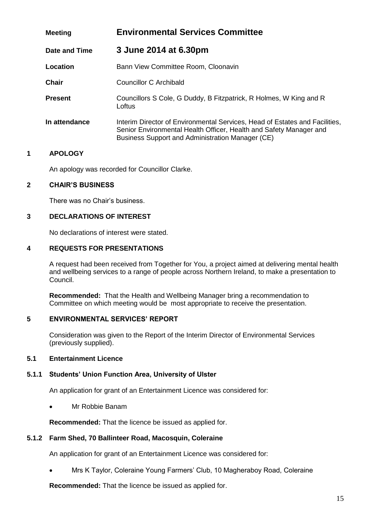| <b>Meeting</b> | <b>Environmental Services Committee</b>                                                                                                                                                               |
|----------------|-------------------------------------------------------------------------------------------------------------------------------------------------------------------------------------------------------|
| Date and Time  | 3 June 2014 at 6.30pm                                                                                                                                                                                 |
| Location       | Bann View Committee Room, Cloonavin                                                                                                                                                                   |
| <b>Chair</b>   | Councillor C Archibald                                                                                                                                                                                |
| <b>Present</b> | Councillors S Cole, G Duddy, B Fitzpatrick, R Holmes, W King and R<br>Loftus                                                                                                                          |
| In attendance  | Interim Director of Environmental Services, Head of Estates and Facilities,<br>Senior Environmental Health Officer, Health and Safety Manager and<br>Business Support and Administration Manager (CE) |

# **1 APOLOGY**

An apology was recorded for Councillor Clarke.

#### **2 CHAIR'S BUSINESS**

There was no Chair's business.

# **3 DECLARATIONS OF INTEREST**

No declarations of interest were stated.

#### **4 REQUESTS FOR PRESENTATIONS**

A request had been received from Together for You, a project aimed at delivering mental health and wellbeing services to a range of people across Northern Ireland, to make a presentation to Council.

**Recommended:** That the Health and Wellbeing Manager bring a recommendation to Committee on which meeting would be most appropriate to receive the presentation.

#### **5 ENVIRONMENTAL SERVICES' REPORT**

Consideration was given to the Report of the Interim Director of Environmental Services (previously supplied).

# **5.1 Entertainment Licence**

#### **5.1.1 Students' Union Function Area, University of Ulster**

An application for grant of an Entertainment Licence was considered for:

Mr Robbie Banam

**Recommended:** That the licence be issued as applied for.

#### **5.1.2 Farm Shed, 70 Ballinteer Road, Macosquin, Coleraine**

An application for grant of an Entertainment Licence was considered for:

Mrs K Taylor, Coleraine Young Farmers' Club, 10 Magheraboy Road, Coleraine

**Recommended:** That the licence be issued as applied for.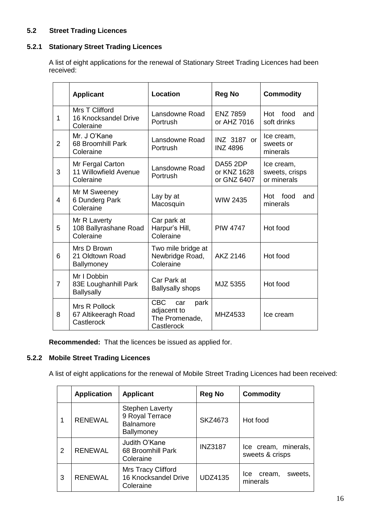# **5.2 Street Trading Licences**

# **5.2.1 Stationary Street Trading Licences**

A list of eight applications for the renewal of Stationary Street Trading Licences had been received:

|                | <b>Location</b><br><b>Applicant</b>                      |                                                                          | <b>Reg No</b>                                 | <b>Commodity</b>                            |
|----------------|----------------------------------------------------------|--------------------------------------------------------------------------|-----------------------------------------------|---------------------------------------------|
| 1              | Mrs T Clifford<br>16 Knocksandel Drive<br>Coleraine      | Lansdowne Road<br>Portrush                                               | <b>ENZ 7859</b><br>or AHZ 7016                | Hot<br>food<br>and<br>soft drinks           |
| $\overline{2}$ | Mr. J O'Kane<br>68 Broomhill Park<br>Coleraine           | Lansdowne Road<br>Portrush                                               | INZ 3187 or<br><b>INZ 4896</b>                | Ice cream,<br>sweets or<br>minerals         |
| 3              | Mr Fergal Carton<br>11 Willowfield Avenue<br>Coleraine   | Lansdowne Road<br>Portrush                                               | <b>DA55 2DP</b><br>or KNZ 1628<br>or GNZ 6407 | Ice cream,<br>sweets, crisps<br>or minerals |
| 4              | Mr M Sweeney<br>6 Dunderg Park<br>Coleraine              | Lay by at<br>Macosquin                                                   | <b>WIW 2435</b>                               | food<br>Hot<br>and<br>minerals              |
| 5              | Mr R Laverty<br>108 Ballyrashane Road<br>Coleraine       | Car park at<br>Harpur's Hill,<br>Coleraine                               | <b>PIW 4747</b>                               | Hot food                                    |
| 6              | Mrs D Brown<br>21 Oldtown Road<br>Ballymoney             | Two mile bridge at<br>Newbridge Road,<br>Coleraine                       | AKZ 2146                                      | Hot food                                    |
| $\overline{7}$ | Mr I Dobbin<br>83E Loughanhill Park<br><b>Ballysally</b> | Car Park at<br><b>Ballysally shops</b>                                   | MJZ 5355                                      | Hot food                                    |
| 8              | Mrs R Pollock<br>67 Altikeeragh Road<br>Castlerock       | <b>CBC</b><br>park<br>car<br>adjacent to<br>The Promenade,<br>Castlerock | MHZ4533                                       | Ice cream                                   |

**Recommended:** That the licences be issued as applied for.

# **5.2.2 Mobile Street Trading Licences**

A list of eight applications for the renewal of Mobile Street Trading Licences had been received:

|   | <b>Application</b> | <b>Applicant</b>                                                            | <b>Reg No</b>  | <b>Commodity</b>                            |
|---|--------------------|-----------------------------------------------------------------------------|----------------|---------------------------------------------|
|   | <b>RENEWAL</b>     | <b>Stephen Laverty</b><br>9 Royal Terrace<br><b>Balnamore</b><br>Ballymoney | SKZ4673        | Hot food                                    |
| 2 | <b>RENEWAL</b>     | Judith O'Kane<br>68 Broomhill Park<br>Coleraine                             | <b>INZ3187</b> | Ice cream, minerals,<br>sweets & crisps     |
| 3 | <b>RENEWAL</b>     | <b>Mrs Tracy Clifford</b><br>16 Knocksandel Drive<br>Coleraine              | <b>UDZ4135</b> | sweets,<br><b>Ice</b><br>cream,<br>minerals |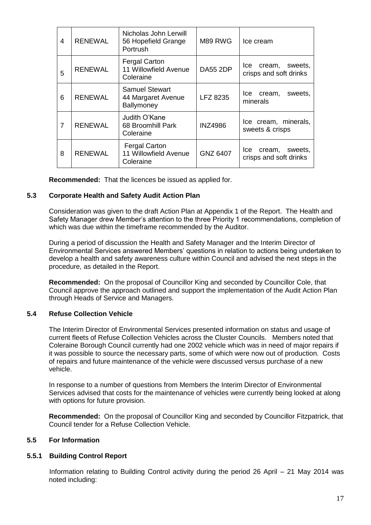| 4              | <b>RENEWAL</b> | Nicholas John Lerwill<br>56 Hopefield Grange<br>Portrush   | M89 RWG         | Ice cream                                          |
|----------------|----------------|------------------------------------------------------------|-----------------|----------------------------------------------------|
| 5              | <b>RENEWAL</b> | <b>Fergal Carton</b><br>11 Willowfield Avenue<br>Coleraine | <b>DA55 2DP</b> | lce<br>sweets,<br>cream,<br>crisps and soft drinks |
| 6              | <b>RENEWAL</b> | <b>Samuel Stewart</b><br>44 Margaret Avenue<br>Ballymoney  | LFZ 8235        | lce<br>sweets,<br>cream,<br>minerals               |
| $\overline{7}$ | <b>RENEWAL</b> | Judith O'Kane<br>68 Broomhill Park<br>Coleraine            | <b>INZ4986</b>  | Ice cream, minerals,<br>sweets & crisps            |
| 8              | <b>RENEWAL</b> | <b>Fergal Carton</b><br>11 Willowfield Avenue<br>Coleraine | <b>GNZ 6407</b> | cream, sweets,<br>lce.<br>crisps and soft drinks   |

**Recommended:** That the licences be issued as applied for.

#### **5.3 Corporate Health and Safety Audit Action Plan**

Consideration was given to the draft Action Plan at Appendix 1 of the Report. The Health and Safety Manager drew Member's attention to the three Priority 1 recommendations, completion of which was due within the timeframe recommended by the Auditor.

During a period of discussion the Health and Safety Manager and the Interim Director of Environmental Services answered Members' questions in relation to actions being undertaken to develop a health and safety awareness culture within Council and advised the next steps in the procedure, as detailed in the Report.

**Recommended:** On the proposal of Councillor King and seconded by Councillor Cole, that Council approve the approach outlined and support the implementation of the Audit Action Plan through Heads of Service and Managers.

#### **5.4 Refuse Collection Vehicle**

The Interim Director of Environmental Services presented information on status and usage of current fleets of Refuse Collection Vehicles across the Cluster Councils. Members noted that Coleraine Borough Council currently had one 2002 vehicle which was in need of major repairs if it was possible to source the necessary parts, some of which were now out of production. Costs of repairs and future maintenance of the vehicle were discussed versus purchase of a new vehicle.

In response to a number of questions from Members the Interim Director of Environmental Services advised that costs for the maintenance of vehicles were currently being looked at along with options for future provision.

**Recommended:** On the proposal of Councillor King and seconded by Councillor Fitzpatrick, that Council tender for a Refuse Collection Vehicle.

# **5.5 For Information**

#### **5.5.1 Building Control Report**

Information relating to Building Control activity during the period 26 April – 21 May 2014 was noted including: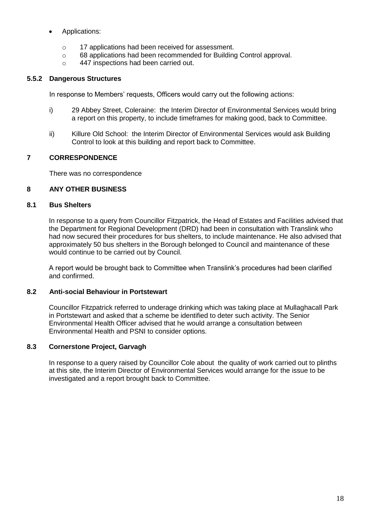- Applications:
	- o 17 applications had been received for assessment.
	- o 68 applications had been recommended for Building Control approval.
	- o 447 inspections had been carried out.

# **5.5.2 Dangerous Structures**

In response to Members' requests, Officers would carry out the following actions:

- i) 29 Abbey Street, Coleraine: the Interim Director of Environmental Services would bring a report on this property, to include timeframes for making good, back to Committee.
- ii) Killure Old School: the Interim Director of Environmental Services would ask Building Control to look at this building and report back to Committee.

# **7 CORRESPONDENCE**

There was no correspondence

## **8 ANY OTHER BUSINESS**

#### **8.1 Bus Shelters**

In response to a query from Councillor Fitzpatrick, the Head of Estates and Facilities advised that the Department for Regional Development (DRD) had been in consultation with Translink who had now secured their procedures for bus shelters, to include maintenance. He also advised that approximately 50 bus shelters in the Borough belonged to Council and maintenance of these would continue to be carried out by Council.

A report would be brought back to Committee when Translink's procedures had been clarified and confirmed.

# **8.2 Anti-social Behaviour in Portstewart**

Councillor Fitzpatrick referred to underage drinking which was taking place at Mullaghacall Park in Portstewart and asked that a scheme be identified to deter such activity. The Senior Environmental Health Officer advised that he would arrange a consultation between Environmental Health and PSNI to consider options.

#### **8.3 Cornerstone Project, Garvagh**

In response to a query raised by Councillor Cole about the quality of work carried out to plinths at this site, the Interim Director of Environmental Services would arrange for the issue to be investigated and a report brought back to Committee.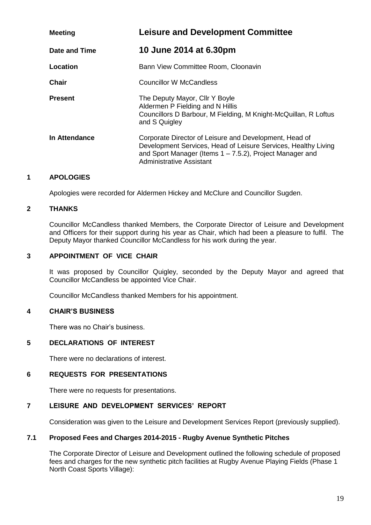| <b>Meeting</b> | <b>Leisure and Development Committee</b>                                                                                                                                                                            |
|----------------|---------------------------------------------------------------------------------------------------------------------------------------------------------------------------------------------------------------------|
| Date and Time  | 10 June 2014 at 6.30pm                                                                                                                                                                                              |
| Location       | Bann View Committee Room, Cloonavin                                                                                                                                                                                 |
| <b>Chair</b>   | Councillor W McCandless                                                                                                                                                                                             |
| <b>Present</b> | The Deputy Mayor, Cllr Y Boyle<br>Aldermen P Fielding and N Hillis<br>Councillors D Barbour, M Fielding, M Knight-McQuillan, R Loftus<br>and S Quigley                                                              |
| In Attendance  | Corporate Director of Leisure and Development, Head of<br>Development Services, Head of Leisure Services, Healthy Living<br>and Sport Manager (Items $1 - 7.5.2$ ), Project Manager and<br>Administrative Assistant |

# **1 APOLOGIES**

Apologies were recorded for Aldermen Hickey and McClure and Councillor Sugden.

#### **2 THANKS**

Councillor McCandless thanked Members, the Corporate Director of Leisure and Development and Officers for their support during his year as Chair, which had been a pleasure to fulfil. The Deputy Mayor thanked Councillor McCandless for his work during the year.

#### **3 APPOINTMENT OF VICE CHAIR**

It was proposed by Councillor Quigley, seconded by the Deputy Mayor and agreed that Councillor McCandless be appointed Vice Chair.

Councillor McCandless thanked Members for his appointment.

#### **4 CHAIR'S BUSINESS**

There was no Chair's business.

#### **5 DECLARATIONS OF INTEREST**

There were no declarations of interest.

#### **6 REQUESTS FOR PRESENTATIONS**

There were no requests for presentations.

# **7 LEISURE AND DEVELOPMENT SERVICES' REPORT**

Consideration was given to the Leisure and Development Services Report (previously supplied).

#### **7.1 Proposed Fees and Charges 2014-2015 - Rugby Avenue Synthetic Pitches**

The Corporate Director of Leisure and Development outlined the following schedule of proposed fees and charges for the new synthetic pitch facilities at Rugby Avenue Playing Fields (Phase 1 North Coast Sports Village):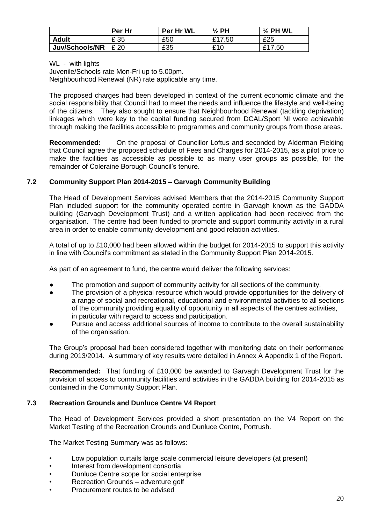|                       | Per Hr | Per Hr WL | $\frac{1}{2}$ PH   | $\frac{1}{2}$ PH WL |
|-----------------------|--------|-----------|--------------------|---------------------|
| <b>Adult</b>          | £ 35   | £50       | £17.50             | £25                 |
| <b>Juv/Schools/NR</b> | £ 20   | £35       | <b>C</b> ic<br>∼ י | £1<br>'.50          |

WL - with lights

Juvenile/Schools rate Mon-Fri up to 5.00pm. Neighbourhood Renewal (NR) rate applicable any time.

The proposed charges had been developed in context of the current economic climate and the social responsibility that Council had to meet the needs and influence the lifestyle and well-being of the citizens. They also sought to ensure that Neighbourhood Renewal (tackling deprivation) linkages which were key to the capital funding secured from DCAL/Sport NI were achievable through making the facilities accessible to programmes and community groups from those areas.

**Recommended:** On the proposal of Councillor Loftus and seconded by Alderman Fielding that Council agree the proposed schedule of Fees and Charges for 2014-2015, as a pilot price to make the facilities as accessible as possible to as many user groups as possible, for the remainder of Coleraine Borough Council's tenure.

# **7.2 Community Support Plan 2014-2015 – Garvagh Community Building**

The Head of Development Services advised Members that the 2014-2015 Community Support Plan included support for the community operated centre in Garvagh known as the GADDA building (Garvagh Development Trust) and a written application had been received from the organisation. The centre had been funded to promote and support community activity in a rural area in order to enable community development and good relation activities.

A total of up to £10,000 had been allowed within the budget for 2014-2015 to support this activity in line with Council's commitment as stated in the Community Support Plan 2014-2015.

As part of an agreement to fund, the centre would deliver the following services:

- The promotion and support of community activity for all sections of the community.
- The provision of a physical resource which would provide opportunities for the delivery of a range of social and recreational, educational and environmental activities to all sections of the community providing equality of opportunity in all aspects of the centres activities, in particular with regard to access and participation.
- Pursue and access additional sources of income to contribute to the overall sustainability of the organisation.

The Group's proposal had been considered together with monitoring data on their performance during 2013/2014. A summary of key results were detailed in Annex A Appendix 1 of the Report.

**Recommended:** That funding of £10,000 be awarded to Garvagh Development Trust for the provision of access to community facilities and activities in the GADDA building for 2014-2015 as contained in the Community Support Plan.

#### **7.3 Recreation Grounds and Dunluce Centre V4 Report**

The Head of Development Services provided a short presentation on the V4 Report on the Market Testing of the Recreation Grounds and Dunluce Centre, Portrush.

The Market Testing Summary was as follows:

- Low population curtails large scale commercial leisure developers (at present)
- Interest from development consortia
- Dunluce Centre scope for social enterprise
- Recreation Grounds adventure golf
- Procurement routes to be advised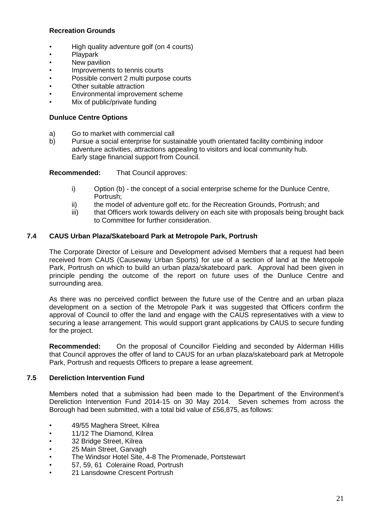# **Recreation Grounds**

- High quality adventure golf (on 4 courts)
- Playpark
- New pavilion
- Improvements to tennis courts
- Possible convert 2 multi purpose courts
- Other suitable attraction
- Environmental improvement scheme
- Mix of public/private funding

# **Dunluce Centre Options**

- a) Go to market with commercial call
- b) Pursue a social enterprise for sustainable youth orientated facility combining indoor adventure activities, attractions appealing to visitors and local community hub. Early stage financial support from Council.

**Recommended:** That Council approves:

- i) Option (b) the concept of a social enterprise scheme for the Dunluce Centre, Portrush;
- ii) the model of adventure golf etc. for the Recreation Grounds, Portrush; and
- iii) that Officers work towards delivery on each site with proposals being brought back to Committee for further consideration.

# **7.4 CAUS Urban Plaza/Skateboard Park at Metropole Park, Portrush**

The Corporate Director of Leisure and Development advised Members that a request had been received from CAUS (Causeway Urban Sports) for use of a section of land at the Metropole Park, Portrush on which to build an urban plaza/skateboard park. Approval had been given in principle pending the outcome of the report on future uses of the Dunluce Centre and surrounding area.

As there was no perceived conflict between the future use of the Centre and an urban plaza development on a section of the Metropole Park it was suggested that Officers confirm the approval of Council to offer the land and engage with the CAUS representatives with a view to securing a lease arrangement. This would support grant applications by CAUS to secure funding for the project.

**Recommended:** On the proposal of Councillor Fielding and seconded by Alderman Hillis that Council approves the offer of land to CAUS for an urban plaza/skateboard park at Metropole Park, Portrush and requests Officers to prepare a lease agreement.

# **7.5 Dereliction Intervention Fund**

Members noted that a submission had been made to the Department of the Environment's Dereliction Intervention Fund 2014-15 on 30 May 2014. Seven schemes from across the Borough had been submitted, with a total bid value of £56,875, as follows:

- 49/55 Maghera Street, Kilrea
- 11/12 The Diamond, Kilrea
- 32 Bridge Street, Kilrea
- 25 Main Street, Garvagh
- The Windsor Hotel Site, 4-8 The Promenade, Portstewart
- 57, 59, 61 Coleraine Road, Portrush
- 21 Lansdowne Crescent Portrush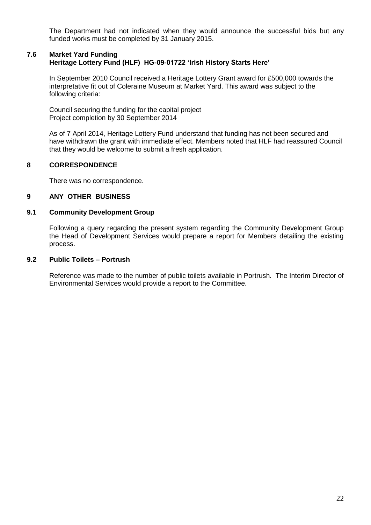The Department had not indicated when they would announce the successful bids but any funded works must be completed by 31 January 2015.

#### **7.6 Market Yard Funding Heritage Lottery Fund (HLF) HG-09-01722 'Irish History Starts Here'**

In September 2010 Council received a Heritage Lottery Grant award for £500,000 towards the interpretative fit out of Coleraine Museum at Market Yard. This award was subject to the following criteria:

Council securing the funding for the capital project Project completion by 30 September 2014

As of 7 April 2014, Heritage Lottery Fund understand that funding has not been secured and have withdrawn the grant with immediate effect. Members noted that HLF had reassured Council that they would be welcome to submit a fresh application.

#### **8 CORRESPONDENCE**

There was no correspondence.

#### **9 ANY OTHER BUSINESS**

#### **9.1 Community Development Group**

Following a query regarding the present system regarding the Community Development Group the Head of Development Services would prepare a report for Members detailing the existing process.

#### **9.2 Public Toilets – Portrush**

Reference was made to the number of public toilets available in Portrush. The Interim Director of Environmental Services would provide a report to the Committee.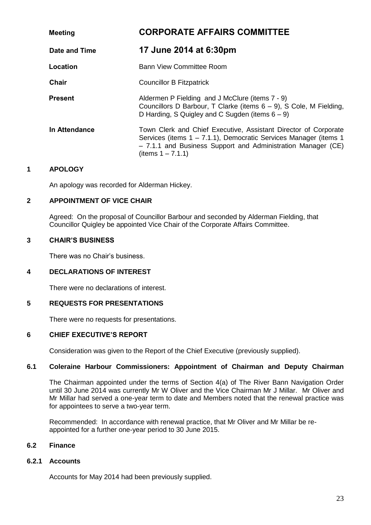| <b>Meeting</b> | <b>CORPORATE AFFAIRS COMMITTEE</b>                                                                                                                                                                                          |  |
|----------------|-----------------------------------------------------------------------------------------------------------------------------------------------------------------------------------------------------------------------------|--|
| Date and Time  | 17 June 2014 at 6:30pm                                                                                                                                                                                                      |  |
| Location       | <b>Bann View Committee Room</b>                                                                                                                                                                                             |  |
| <b>Chair</b>   | <b>Councillor B Fitzpatrick</b>                                                                                                                                                                                             |  |
| <b>Present</b> | Aldermen P Fielding and J McClure (items 7 - 9)<br>Councillors D Barbour, T Clarke (items $6 - 9$ ), S Cole, M Fielding,<br>D Harding, S Quigley and C Sugden (items $6 - 9$ )                                              |  |
| In Attendance  | Town Clerk and Chief Executive, Assistant Director of Corporate<br>Services (items 1 – 7.1.1), Democratic Services Manager (items 1<br>- 7.1.1 and Business Support and Administration Manager (CE)<br>(items $1 - 7.1.1$ ) |  |

#### **1 APOLOGY**

An apology was recorded for Alderman Hickey.

# **2 APPOINTMENT OF VICE CHAIR**

Agreed: On the proposal of Councillor Barbour and seconded by Alderman Fielding, that Councillor Quigley be appointed Vice Chair of the Corporate Affairs Committee.

#### **3 CHAIR'S BUSINESS**

There was no Chair's business.

#### **4 DECLARATIONS OF INTEREST**

There were no declarations of interest.

#### **5 REQUESTS FOR PRESENTATIONS**

There were no requests for presentations.

#### **6 CHIEF EXECUTIVE'S REPORT**

Consideration was given to the Report of the Chief Executive (previously supplied).

#### **6.1 Coleraine Harbour Commissioners: Appointment of Chairman and Deputy Chairman**

The Chairman appointed under the terms of Section 4(a) of The River Bann Navigation Order until 30 June 2014 was currently Mr W Oliver and the Vice Chairman Mr J Millar. Mr Oliver and Mr Millar had served a one-year term to date and Members noted that the renewal practice was for appointees to serve a two-year term.

Recommended: In accordance with renewal practice, that Mr Oliver and Mr Millar be reappointed for a further one-year period to 30 June 2015.

#### **6.2 Finance**

#### **6.2.1 Accounts**

Accounts for May 2014 had been previously supplied.